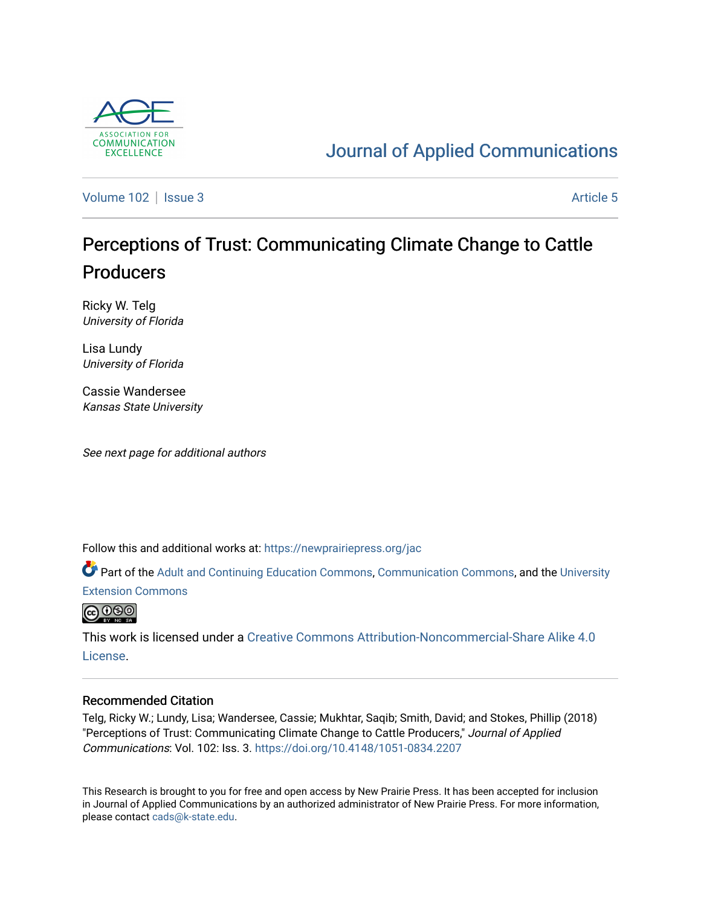

## [Journal of Applied Communications](https://newprairiepress.org/jac)

[Volume 102](https://newprairiepress.org/jac/vol102) | [Issue 3](https://newprairiepress.org/jac/vol102/iss3) Article 5

# Perceptions of Trust: Communicating Climate Change to Cattle **Producers**

Ricky W. Telg University of Florida

Lisa Lundy University of Florida

Cassie Wandersee Kansas State University

See next page for additional authors

Follow this and additional works at: [https://newprairiepress.org/jac](https://newprairiepress.org/jac?utm_source=newprairiepress.org%2Fjac%2Fvol102%2Fiss3%2F5&utm_medium=PDF&utm_campaign=PDFCoverPages)

Part of the [Adult and Continuing Education Commons,](http://network.bepress.com/hgg/discipline/1375?utm_source=newprairiepress.org%2Fjac%2Fvol102%2Fiss3%2F5&utm_medium=PDF&utm_campaign=PDFCoverPages) [Communication Commons](http://network.bepress.com/hgg/discipline/325?utm_source=newprairiepress.org%2Fjac%2Fvol102%2Fiss3%2F5&utm_medium=PDF&utm_campaign=PDFCoverPages), and the [University](http://network.bepress.com/hgg/discipline/1361?utm_source=newprairiepress.org%2Fjac%2Fvol102%2Fiss3%2F5&utm_medium=PDF&utm_campaign=PDFCoverPages)  [Extension Commons](http://network.bepress.com/hgg/discipline/1361?utm_source=newprairiepress.org%2Fjac%2Fvol102%2Fiss3%2F5&utm_medium=PDF&utm_campaign=PDFCoverPages)



This work is licensed under a [Creative Commons Attribution-Noncommercial-Share Alike 4.0](https://creativecommons.org/licenses/by-nc-sa/4.0/) [License.](https://creativecommons.org/licenses/by-nc-sa/4.0/)

#### Recommended Citation

Telg, Ricky W.; Lundy, Lisa; Wandersee, Cassie; Mukhtar, Saqib; Smith, David; and Stokes, Phillip (2018) "Perceptions of Trust: Communicating Climate Change to Cattle Producers," Journal of Applied Communications: Vol. 102: Iss. 3. <https://doi.org/10.4148/1051-0834.2207>

This Research is brought to you for free and open access by New Prairie Press. It has been accepted for inclusion in Journal of Applied Communications by an authorized administrator of New Prairie Press. For more information, please contact [cads@k-state.edu.](mailto:cads@k-state.edu)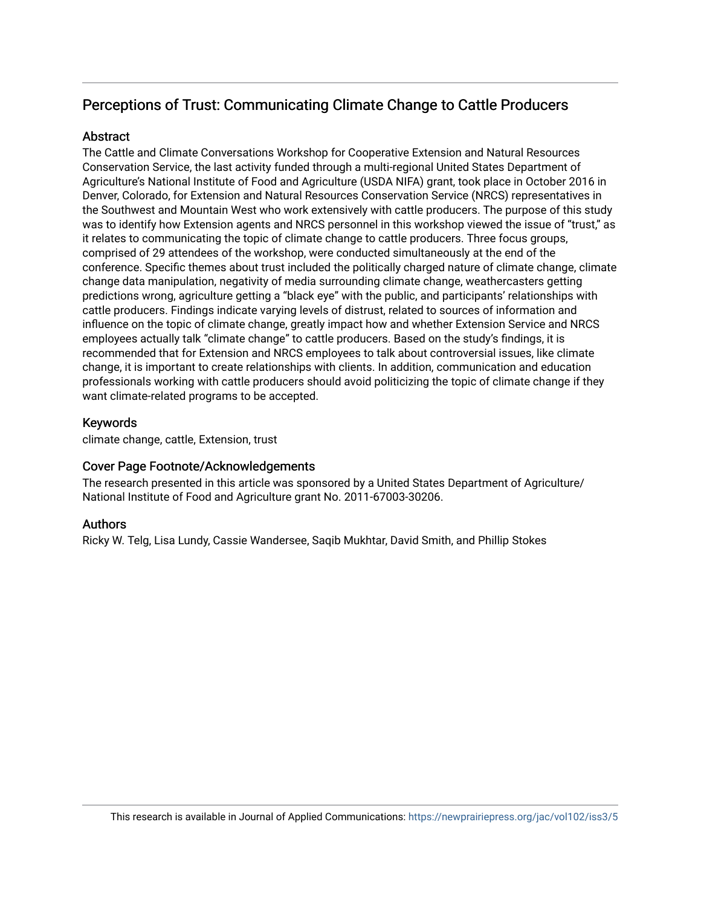## Perceptions of Trust: Communicating Climate Change to Cattle Producers

## **Abstract**

The Cattle and Climate Conversations Workshop for Cooperative Extension and Natural Resources Conservation Service, the last activity funded through a multi-regional United States Department of Agriculture's National Institute of Food and Agriculture (USDA NIFA) grant, took place in October 2016 in Denver, Colorado, for Extension and Natural Resources Conservation Service (NRCS) representatives in the Southwest and Mountain West who work extensively with cattle producers. The purpose of this study was to identify how Extension agents and NRCS personnel in this workshop viewed the issue of "trust," as it relates to communicating the topic of climate change to cattle producers. Three focus groups, comprised of 29 attendees of the workshop, were conducted simultaneously at the end of the conference. Specific themes about trust included the politically charged nature of climate change, climate change data manipulation, negativity of media surrounding climate change, weathercasters getting predictions wrong, agriculture getting a "black eye" with the public, and participants' relationships with cattle producers. Findings indicate varying levels of distrust, related to sources of information and influence on the topic of climate change, greatly impact how and whether Extension Service and NRCS employees actually talk "climate change" to cattle producers. Based on the study's findings, it is recommended that for Extension and NRCS employees to talk about controversial issues, like climate change, it is important to create relationships with clients. In addition, communication and education professionals working with cattle producers should avoid politicizing the topic of climate change if they want climate-related programs to be accepted.

### Keywords

climate change, cattle, Extension, trust

## Cover Page Footnote/Acknowledgements

The research presented in this article was sponsored by a United States Department of Agriculture/ National Institute of Food and Agriculture grant No. 2011-67003-30206.

## Authors

Ricky W. Telg, Lisa Lundy, Cassie Wandersee, Saqib Mukhtar, David Smith, and Phillip Stokes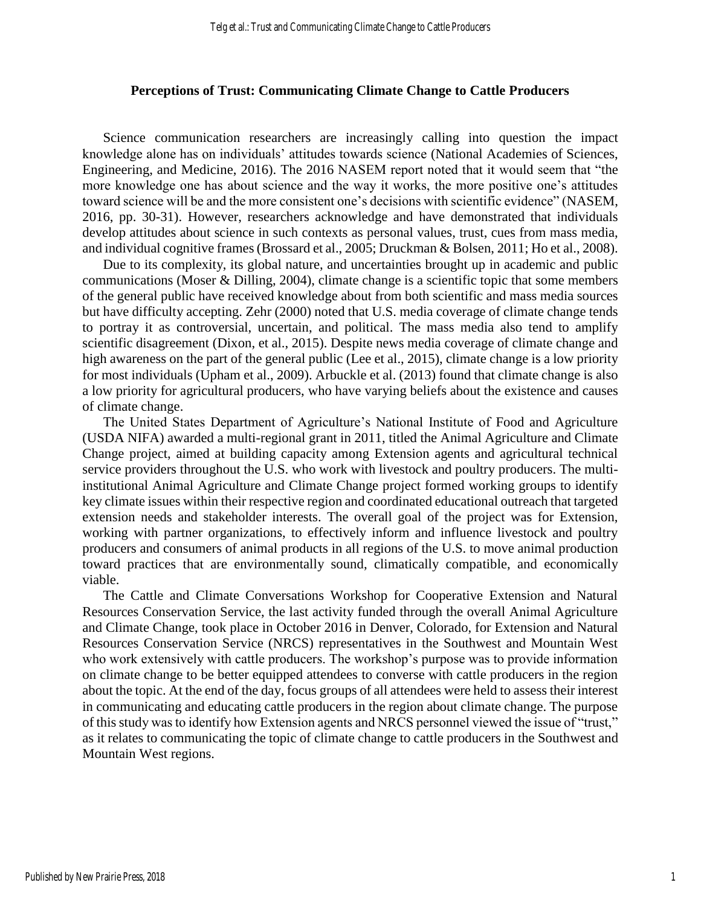#### **Perceptions of Trust: Communicating Climate Change to Cattle Producers**

Science communication researchers are increasingly calling into question the impact knowledge alone has on individuals' attitudes towards science (National Academies of Sciences, Engineering, and Medicine, 2016). The 2016 NASEM report noted that it would seem that "the more knowledge one has about science and the way it works, the more positive one's attitudes toward science will be and the more consistent one's decisions with scientific evidence" (NASEM, 2016, pp. 30-31). However, researchers acknowledge and have demonstrated that individuals develop attitudes about science in such contexts as personal values, trust, cues from mass media, and individual cognitive frames (Brossard et al., 2005; Druckman & Bolsen, 2011; Ho et al., 2008).

Due to its complexity, its global nature, and uncertainties brought up in academic and public communications (Moser & Dilling, 2004), climate change is a scientific topic that some members of the general public have received knowledge about from both scientific and mass media sources but have difficulty accepting. Zehr (2000) noted that U.S. media coverage of climate change tends to portray it as controversial, uncertain, and political. The mass media also tend to amplify scientific disagreement (Dixon, et al., 2015). Despite news media coverage of climate change and high awareness on the part of the general public (Lee et al., 2015), climate change is a low priority for most individuals (Upham et al., 2009). Arbuckle et al. (2013) found that climate change is also a low priority for agricultural producers, who have varying beliefs about the existence and causes of climate change.

The United States Department of Agriculture's National Institute of Food and Agriculture (USDA NIFA) awarded a multi-regional grant in 2011, titled the Animal Agriculture and Climate Change project, aimed at building capacity among Extension agents and agricultural technical service providers throughout the U.S. who work with livestock and poultry producers. The multiinstitutional Animal Agriculture and Climate Change project formed working groups to identify key climate issues within their respective region and coordinated educational outreach that targeted extension needs and stakeholder interests. The overall goal of the project was for Extension, working with partner organizations, to effectively inform and influence livestock and poultry producers and consumers of animal products in all regions of the U.S. to move animal production toward practices that are environmentally sound, climatically compatible, and economically viable.

The Cattle and Climate Conversations Workshop for Cooperative Extension and Natural Resources Conservation Service, the last activity funded through the overall Animal Agriculture and Climate Change, took place in October 2016 in Denver, Colorado, for Extension and Natural Resources Conservation Service (NRCS) representatives in the Southwest and Mountain West who work extensively with cattle producers. The workshop's purpose was to provide information on climate change to be better equipped attendees to converse with cattle producers in the region about the topic. At the end of the day, focus groups of all attendees were held to assess their interest in communicating and educating cattle producers in the region about climate change. The purpose of this study was to identify how Extension agents and NRCS personnel viewed the issue of "trust," as it relates to communicating the topic of climate change to cattle producers in the Southwest and Mountain West regions.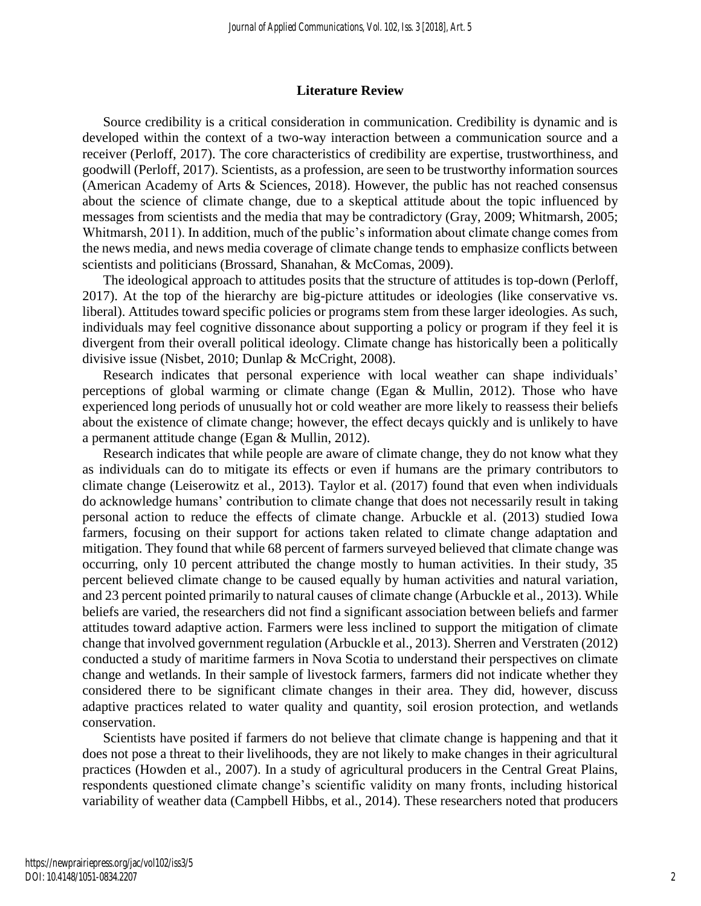#### **Literature Review**

Source credibility is a critical consideration in communication. Credibility is dynamic and is developed within the context of a two-way interaction between a communication source and a receiver (Perloff, 2017). The core characteristics of credibility are expertise, trustworthiness, and goodwill (Perloff, 2017). Scientists, as a profession, are seen to be trustworthy information sources (American Academy of Arts & Sciences, 2018). However, the public has not reached consensus about the science of climate change, due to a skeptical attitude about the topic influenced by messages from scientists and the media that may be contradictory (Gray, 2009; Whitmarsh, 2005; Whitmarsh, 2011). In addition, much of the public's information about climate change comes from the news media, and news media coverage of climate change tends to emphasize conflicts between scientists and politicians (Brossard, Shanahan, & McComas, 2009).

The ideological approach to attitudes posits that the structure of attitudes is top-down (Perloff, 2017). At the top of the hierarchy are big-picture attitudes or ideologies (like conservative vs. liberal). Attitudes toward specific policies or programs stem from these larger ideologies. As such, individuals may feel cognitive dissonance about supporting a policy or program if they feel it is divergent from their overall political ideology. Climate change has historically been a politically divisive issue (Nisbet, 2010; Dunlap & McCright, 2008).

Research indicates that personal experience with local weather can shape individuals' perceptions of global warming or climate change (Egan & Mullin, 2012). Those who have experienced long periods of unusually hot or cold weather are more likely to reassess their beliefs about the existence of climate change; however, the effect decays quickly and is unlikely to have a permanent attitude change (Egan & Mullin, 2012).

Research indicates that while people are aware of climate change, they do not know what they as individuals can do to mitigate its effects or even if humans are the primary contributors to climate change (Leiserowitz et al., 2013). Taylor et al. (2017) found that even when individuals do acknowledge humans' contribution to climate change that does not necessarily result in taking personal action to reduce the effects of climate change. Arbuckle et al. (2013) studied Iowa farmers, focusing on their support for actions taken related to climate change adaptation and mitigation. They found that while 68 percent of farmers surveyed believed that climate change was occurring, only 10 percent attributed the change mostly to human activities. In their study, 35 percent believed climate change to be caused equally by human activities and natural variation, and 23 percent pointed primarily to natural causes of climate change (Arbuckle et al., 2013). While beliefs are varied, the researchers did not find a significant association between beliefs and farmer attitudes toward adaptive action. Farmers were less inclined to support the mitigation of climate change that involved government regulation (Arbuckle et al., 2013). Sherren and Verstraten (2012) conducted a study of maritime farmers in Nova Scotia to understand their perspectives on climate change and wetlands. In their sample of livestock farmers, farmers did not indicate whether they considered there to be significant climate changes in their area. They did, however, discuss adaptive practices related to water quality and quantity, soil erosion protection, and wetlands conservation.

Scientists have posited if farmers do not believe that climate change is happening and that it does not pose a threat to their livelihoods, they are not likely to make changes in their agricultural practices (Howden et al., 2007). In a study of agricultural producers in the Central Great Plains, respondents questioned climate change's scientific validity on many fronts, including historical variability of weather data (Campbell Hibbs, et al., 2014). These researchers noted that producers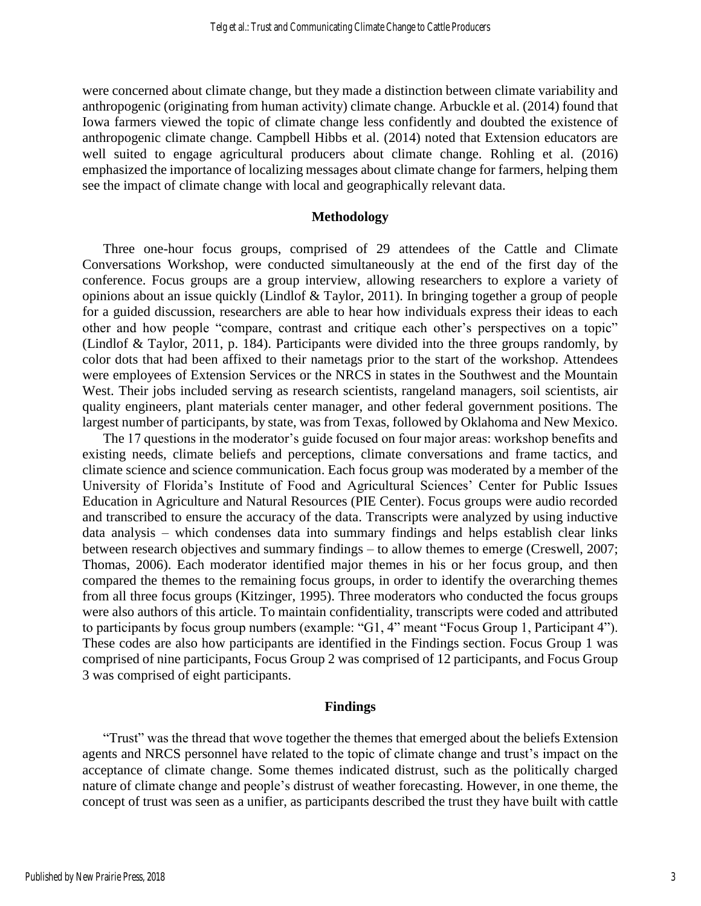were concerned about climate change, but they made a distinction between climate variability and anthropogenic (originating from human activity) climate change. Arbuckle et al. (2014) found that Iowa farmers viewed the topic of climate change less confidently and doubted the existence of anthropogenic climate change. Campbell Hibbs et al. (2014) noted that Extension educators are well suited to engage agricultural producers about climate change. Rohling et al. (2016) emphasized the importance of localizing messages about climate change for farmers, helping them see the impact of climate change with local and geographically relevant data.

#### **Methodology**

Three one-hour focus groups, comprised of 29 attendees of the Cattle and Climate Conversations Workshop, were conducted simultaneously at the end of the first day of the conference. Focus groups are a group interview, allowing researchers to explore a variety of opinions about an issue quickly (Lindlof & Taylor, 2011). In bringing together a group of people for a guided discussion, researchers are able to hear how individuals express their ideas to each other and how people "compare, contrast and critique each other's perspectives on a topic" (Lindlof & Taylor, 2011, p. 184). Participants were divided into the three groups randomly, by color dots that had been affixed to their nametags prior to the start of the workshop. Attendees were employees of Extension Services or the NRCS in states in the Southwest and the Mountain West. Their jobs included serving as research scientists, rangeland managers, soil scientists, air quality engineers, plant materials center manager, and other federal government positions. The largest number of participants, by state, was from Texas, followed by Oklahoma and New Mexico.

The 17 questions in the moderator's guide focused on four major areas: workshop benefits and existing needs, climate beliefs and perceptions, climate conversations and frame tactics, and climate science and science communication. Each focus group was moderated by a member of the University of Florida's Institute of Food and Agricultural Sciences' Center for Public Issues Education in Agriculture and Natural Resources (PIE Center). Focus groups were audio recorded and transcribed to ensure the accuracy of the data. Transcripts were analyzed by using inductive data analysis – which condenses data into summary findings and helps establish clear links between research objectives and summary findings – to allow themes to emerge (Creswell, 2007; Thomas, 2006). Each moderator identified major themes in his or her focus group, and then compared the themes to the remaining focus groups, in order to identify the overarching themes from all three focus groups (Kitzinger, 1995). Three moderators who conducted the focus groups were also authors of this article. To maintain confidentiality, transcripts were coded and attributed to participants by focus group numbers (example: "G1, 4" meant "Focus Group 1, Participant 4"). These codes are also how participants are identified in the Findings section. Focus Group 1 was comprised of nine participants, Focus Group 2 was comprised of 12 participants, and Focus Group 3 was comprised of eight participants.

#### **Findings**

"Trust" was the thread that wove together the themes that emerged about the beliefs Extension agents and NRCS personnel have related to the topic of climate change and trust's impact on the acceptance of climate change. Some themes indicated distrust, such as the politically charged nature of climate change and people's distrust of weather forecasting. However, in one theme, the concept of trust was seen as a unifier, as participants described the trust they have built with cattle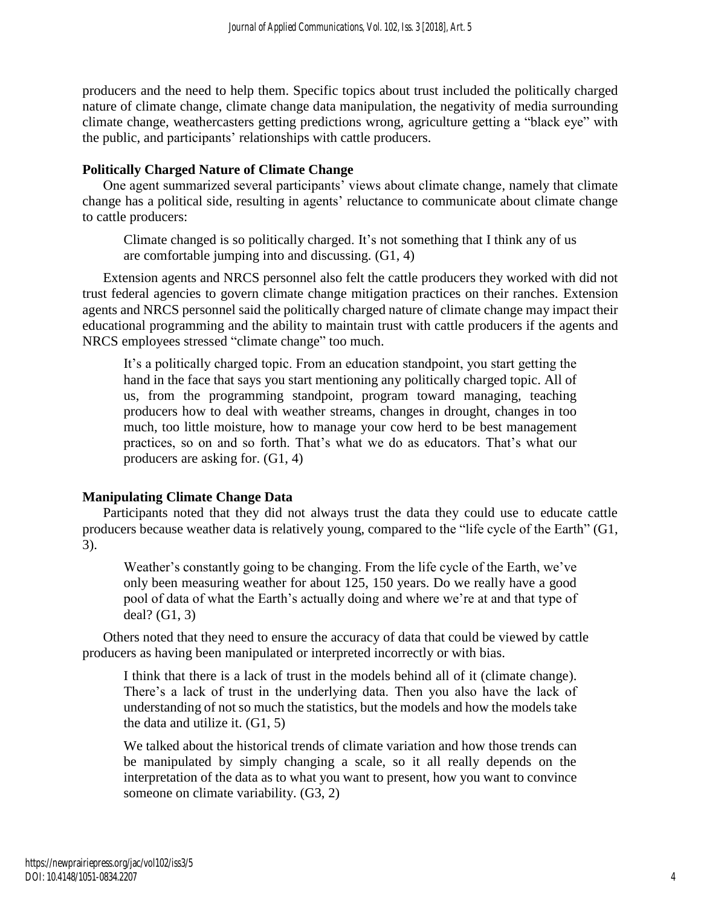producers and the need to help them. Specific topics about trust included the politically charged nature of climate change, climate change data manipulation, the negativity of media surrounding climate change, weathercasters getting predictions wrong, agriculture getting a "black eye" with the public, and participants' relationships with cattle producers.

## **Politically Charged Nature of Climate Change**

One agent summarized several participants' views about climate change, namely that climate change has a political side, resulting in agents' reluctance to communicate about climate change to cattle producers:

Climate changed is so politically charged. It's not something that I think any of us are comfortable jumping into and discussing. (G1, 4)

Extension agents and NRCS personnel also felt the cattle producers they worked with did not trust federal agencies to govern climate change mitigation practices on their ranches. Extension agents and NRCS personnel said the politically charged nature of climate change may impact their educational programming and the ability to maintain trust with cattle producers if the agents and NRCS employees stressed "climate change" too much.

It's a politically charged topic. From an education standpoint, you start getting the hand in the face that says you start mentioning any politically charged topic. All of us, from the programming standpoint, program toward managing, teaching producers how to deal with weather streams, changes in drought, changes in too much, too little moisture, how to manage your cow herd to be best management practices, so on and so forth. That's what we do as educators. That's what our producers are asking for. (G1, 4)

## **Manipulating Climate Change Data**

Participants noted that they did not always trust the data they could use to educate cattle producers because weather data is relatively young, compared to the "life cycle of the Earth" (G1, 3).

Weather's constantly going to be changing. From the life cycle of the Earth, we've only been measuring weather for about 125, 150 years. Do we really have a good pool of data of what the Earth's actually doing and where we're at and that type of deal? (G1, 3)

Others noted that they need to ensure the accuracy of data that could be viewed by cattle producers as having been manipulated or interpreted incorrectly or with bias.

I think that there is a lack of trust in the models behind all of it (climate change). There's a lack of trust in the underlying data. Then you also have the lack of understanding of not so much the statistics, but the models and how the models take the data and utilize it. (G1, 5)

We talked about the historical trends of climate variation and how those trends can be manipulated by simply changing a scale, so it all really depends on the interpretation of the data as to what you want to present, how you want to convince someone on climate variability. (G3, 2)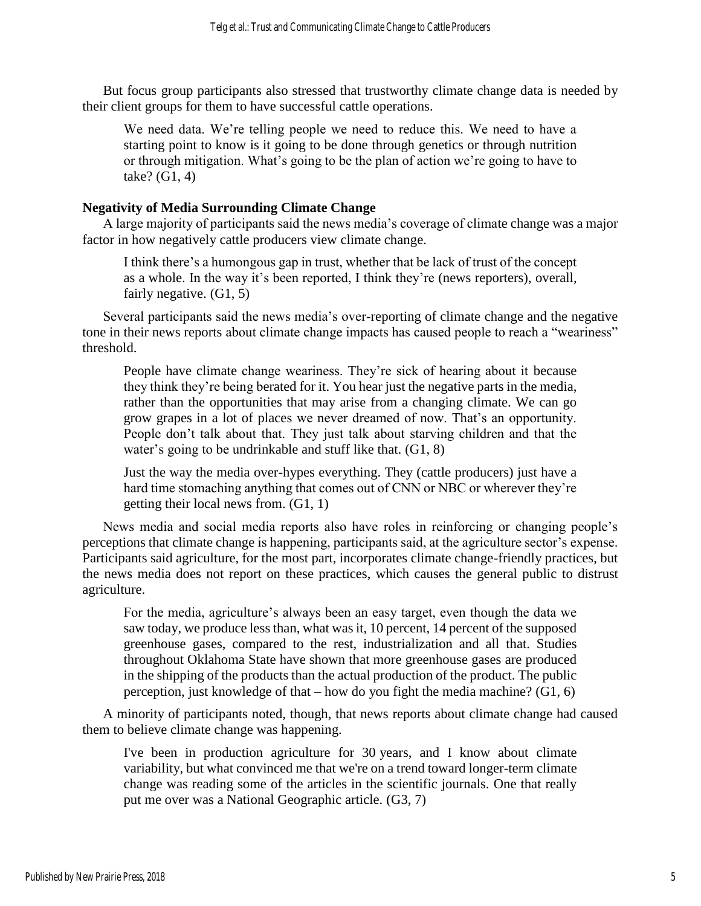But focus group participants also stressed that trustworthy climate change data is needed by their client groups for them to have successful cattle operations.

We need data. We're telling people we need to reduce this. We need to have a starting point to know is it going to be done through genetics or through nutrition or through mitigation. What's going to be the plan of action we're going to have to take? (G1, 4)

#### **Negativity of Media Surrounding Climate Change**

A large majority of participants said the news media's coverage of climate change was a major factor in how negatively cattle producers view climate change.

I think there's a humongous gap in trust, whether that be lack of trust of the concept as a whole. In the way it's been reported, I think they're (news reporters), overall, fairly negative. (G1, 5)

Several participants said the news media's over-reporting of climate change and the negative tone in their news reports about climate change impacts has caused people to reach a "weariness" threshold.

People have climate change weariness. They're sick of hearing about it because they think they're being berated for it. You hear just the negative parts in the media, rather than the opportunities that may arise from a changing climate. We can go grow grapes in a lot of places we never dreamed of now. That's an opportunity. People don't talk about that. They just talk about starving children and that the water's going to be undrinkable and stuff like that. (G1, 8)

Just the way the media over-hypes everything. They (cattle producers) just have a hard time stomaching anything that comes out of CNN or NBC or wherever they're getting their local news from. (G1, 1)

News media and social media reports also have roles in reinforcing or changing people's perceptions that climate change is happening, participants said, at the agriculture sector's expense. Participants said agriculture, for the most part, incorporates climate change-friendly practices, but the news media does not report on these practices, which causes the general public to distrust agriculture.

For the media, agriculture's always been an easy target, even though the data we saw today, we produce less than, what was it, 10 percent, 14 percent of the supposed greenhouse gases, compared to the rest, industrialization and all that. Studies throughout Oklahoma State have shown that more greenhouse gases are produced in the shipping of the products than the actual production of the product. The public perception, just knowledge of that – how do you fight the media machine? (G1, 6)

A minority of participants noted, though, that news reports about climate change had caused them to believe climate change was happening.

I've been in production agriculture for 30 years, and I know about climate variability, but what convinced me that we're on a trend toward longer-term climate change was reading some of the articles in the scientific journals. One that really put me over was a National Geographic article. (G3, 7)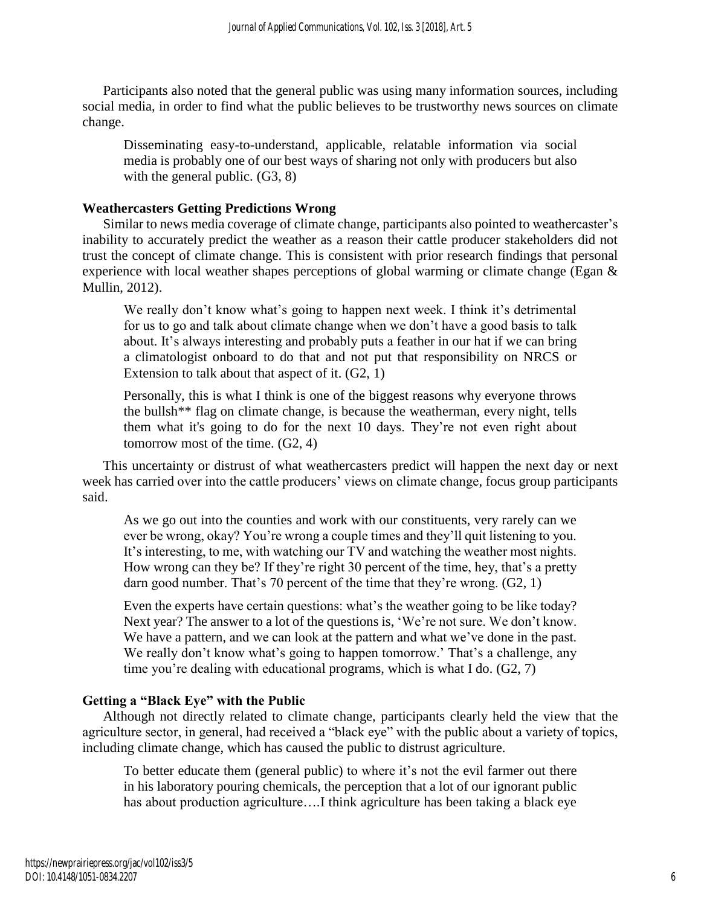Participants also noted that the general public was using many information sources, including social media, in order to find what the public believes to be trustworthy news sources on climate change.

Disseminating easy-to-understand, applicable, relatable information via social media is probably one of our best ways of sharing not only with producers but also with the general public. (G3, 8)

## **Weathercasters Getting Predictions Wrong**

Similar to news media coverage of climate change, participants also pointed to weathercaster's inability to accurately predict the weather as a reason their cattle producer stakeholders did not trust the concept of climate change. This is consistent with prior research findings that personal experience with local weather shapes perceptions of global warming or climate change (Egan & Mullin, 2012).

We really don't know what's going to happen next week. I think it's detrimental for us to go and talk about climate change when we don't have a good basis to talk about. It's always interesting and probably puts a feather in our hat if we can bring a climatologist onboard to do that and not put that responsibility on NRCS or Extension to talk about that aspect of it. (G2, 1)

Personally, this is what I think is one of the biggest reasons why everyone throws the bullsh\*\* flag on climate change, is because the weatherman, every night, tells them what it's going to do for the next 10 days. They're not even right about tomorrow most of the time. (G2, 4)

This uncertainty or distrust of what weathercasters predict will happen the next day or next week has carried over into the cattle producers' views on climate change, focus group participants said.

As we go out into the counties and work with our constituents, very rarely can we ever be wrong, okay? You're wrong a couple times and they'll quit listening to you. It's interesting, to me, with watching our TV and watching the weather most nights. How wrong can they be? If they're right 30 percent of the time, hey, that's a pretty darn good number. That's 70 percent of the time that they're wrong. (G2, 1)

Even the experts have certain questions: what's the weather going to be like today? Next year? The answer to a lot of the questions is, 'We're not sure. We don't know. We have a pattern, and we can look at the pattern and what we've done in the past. We really don't know what's going to happen tomorrow.' That's a challenge, any time you're dealing with educational programs, which is what I do. (G2, 7)

## **Getting a "Black Eye" with the Public**

Although not directly related to climate change, participants clearly held the view that the agriculture sector, in general, had received a "black eye" with the public about a variety of topics, including climate change, which has caused the public to distrust agriculture.

To better educate them (general public) to where it's not the evil farmer out there in his laboratory pouring chemicals, the perception that a lot of our ignorant public has about production agriculture....I think agriculture has been taking a black eye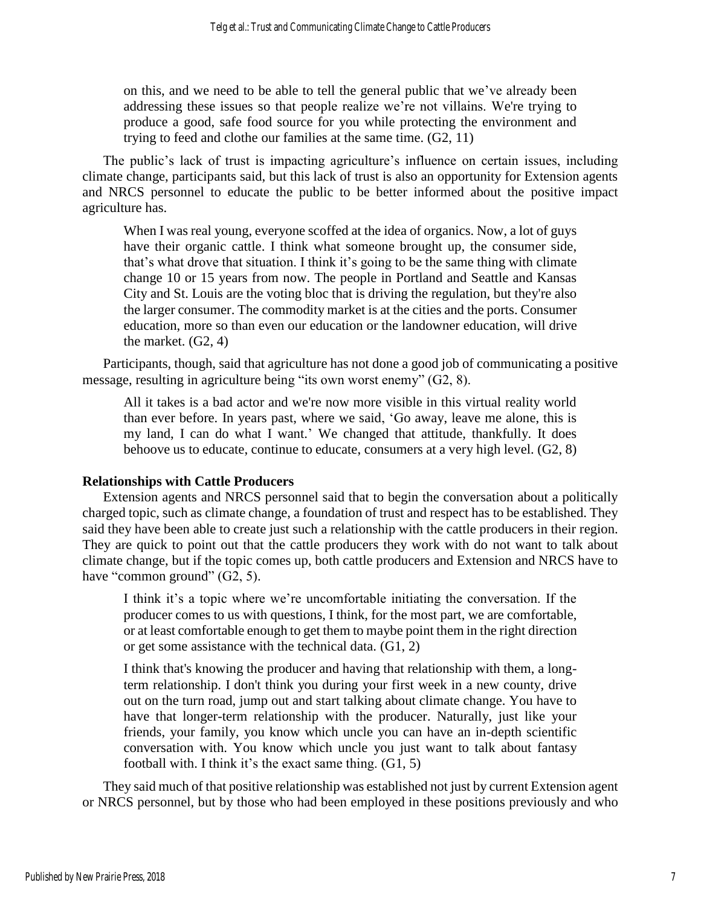on this, and we need to be able to tell the general public that we've already been addressing these issues so that people realize we're not villains. We're trying to produce a good, safe food source for you while protecting the environment and trying to feed and clothe our families at the same time. (G2, 11)

The public's lack of trust is impacting agriculture's influence on certain issues, including climate change, participants said, but this lack of trust is also an opportunity for Extension agents and NRCS personnel to educate the public to be better informed about the positive impact agriculture has.

When I was real young, everyone scoffed at the idea of organics. Now, a lot of guys have their organic cattle. I think what someone brought up, the consumer side, that's what drove that situation. I think it's going to be the same thing with climate change 10 or 15 years from now. The people in Portland and Seattle and Kansas City and St. Louis are the voting bloc that is driving the regulation, but they're also the larger consumer. The commodity market is at the cities and the ports. Consumer education, more so than even our education or the landowner education, will drive the market.  $(G2, 4)$ 

Participants, though, said that agriculture has not done a good job of communicating a positive message, resulting in agriculture being "its own worst enemy" (G2, 8).

All it takes is a bad actor and we're now more visible in this virtual reality world than ever before. In years past, where we said, 'Go away, leave me alone, this is my land, I can do what I want.' We changed that attitude, thankfully. It does behoove us to educate, continue to educate, consumers at a very high level. (G2, 8)

### **Relationships with Cattle Producers**

Extension agents and NRCS personnel said that to begin the conversation about a politically charged topic, such as climate change, a foundation of trust and respect has to be established. They said they have been able to create just such a relationship with the cattle producers in their region. They are quick to point out that the cattle producers they work with do not want to talk about climate change, but if the topic comes up, both cattle producers and Extension and NRCS have to have "common ground" (G2, 5).

I think it's a topic where we're uncomfortable initiating the conversation. If the producer comes to us with questions, I think, for the most part, we are comfortable, or at least comfortable enough to get them to maybe point them in the right direction or get some assistance with the technical data. (G1, 2)

I think that's knowing the producer and having that relationship with them, a longterm relationship. I don't think you during your first week in a new county, drive out on the turn road, jump out and start talking about climate change. You have to have that longer-term relationship with the producer. Naturally, just like your friends, your family, you know which uncle you can have an in-depth scientific conversation with. You know which uncle you just want to talk about fantasy football with. I think it's the exact same thing.  $(G1, 5)$ 

They said much of that positive relationship was established not just by current Extension agent or NRCS personnel, but by those who had been employed in these positions previously and who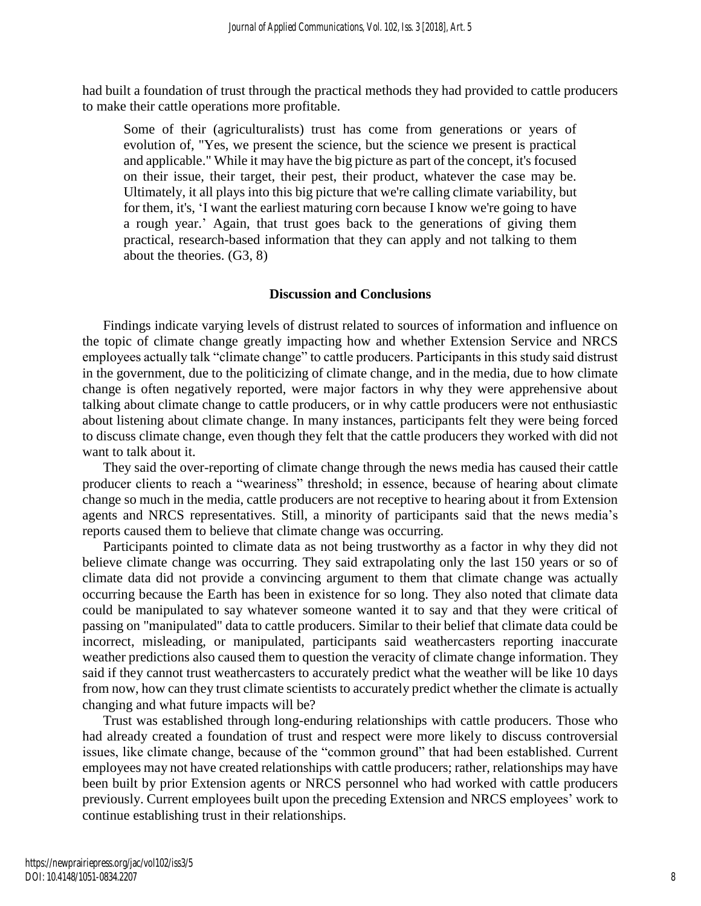had built a foundation of trust through the practical methods they had provided to cattle producers to make their cattle operations more profitable.

Some of their (agriculturalists) trust has come from generations or years of evolution of, "Yes, we present the science, but the science we present is practical and applicable." While it may have the big picture as part of the concept, it's focused on their issue, their target, their pest, their product, whatever the case may be. Ultimately, it all plays into this big picture that we're calling climate variability, but for them, it's, 'I want the earliest maturing corn because I know we're going to have a rough year.' Again, that trust goes back to the generations of giving them practical, research-based information that they can apply and not talking to them about the theories. (G3, 8)

#### **Discussion and Conclusions**

Findings indicate varying levels of distrust related to sources of information and influence on the topic of climate change greatly impacting how and whether Extension Service and NRCS employees actually talk "climate change" to cattle producers. Participants in this study said distrust in the government, due to the politicizing of climate change, and in the media, due to how climate change is often negatively reported, were major factors in why they were apprehensive about talking about climate change to cattle producers, or in why cattle producers were not enthusiastic about listening about climate change. In many instances, participants felt they were being forced to discuss climate change, even though they felt that the cattle producers they worked with did not want to talk about it.

They said the over-reporting of climate change through the news media has caused their cattle producer clients to reach a "weariness" threshold; in essence, because of hearing about climate change so much in the media, cattle producers are not receptive to hearing about it from Extension agents and NRCS representatives. Still, a minority of participants said that the news media's reports caused them to believe that climate change was occurring.

Participants pointed to climate data as not being trustworthy as a factor in why they did not believe climate change was occurring. They said extrapolating only the last 150 years or so of climate data did not provide a convincing argument to them that climate change was actually occurring because the Earth has been in existence for so long. They also noted that climate data could be manipulated to say whatever someone wanted it to say and that they were critical of passing on "manipulated" data to cattle producers. Similar to their belief that climate data could be incorrect, misleading, or manipulated, participants said weathercasters reporting inaccurate weather predictions also caused them to question the veracity of climate change information. They said if they cannot trust weathercasters to accurately predict what the weather will be like 10 days from now, how can they trust climate scientists to accurately predict whether the climate is actually changing and what future impacts will be?

Trust was established through long-enduring relationships with cattle producers. Those who had already created a foundation of trust and respect were more likely to discuss controversial issues, like climate change, because of the "common ground" that had been established. Current employees may not have created relationships with cattle producers; rather, relationships may have been built by prior Extension agents or NRCS personnel who had worked with cattle producers previously. Current employees built upon the preceding Extension and NRCS employees' work to continue establishing trust in their relationships.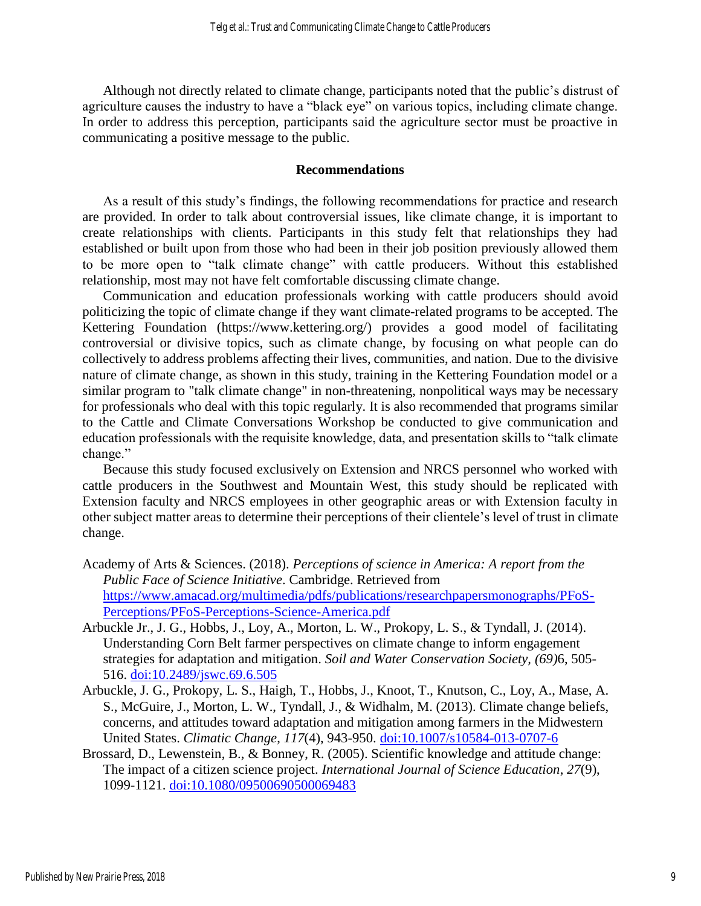Although not directly related to climate change, participants noted that the public's distrust of agriculture causes the industry to have a "black eye" on various topics, including climate change. In order to address this perception, participants said the agriculture sector must be proactive in communicating a positive message to the public.

#### **Recommendations**

As a result of this study's findings, the following recommendations for practice and research are provided. In order to talk about controversial issues, like climate change, it is important to create relationships with clients. Participants in this study felt that relationships they had established or built upon from those who had been in their job position previously allowed them to be more open to "talk climate change" with cattle producers. Without this established relationship, most may not have felt comfortable discussing climate change.

Communication and education professionals working with cattle producers should avoid politicizing the topic of climate change if they want climate-related programs to be accepted. The Kettering Foundation (https://www.kettering.org/) provides a good model of facilitating controversial or divisive topics, such as climate change, by focusing on what people can do collectively to address problems affecting their lives, communities, and nation. Due to the divisive nature of climate change, as shown in this study, training in the Kettering Foundation model or a similar program to "talk climate change" in non-threatening, nonpolitical ways may be necessary for professionals who deal with this topic regularly. It is also recommended that programs similar to the Cattle and Climate Conversations Workshop be conducted to give communication and education professionals with the requisite knowledge, data, and presentation skills to "talk climate change."

Because this study focused exclusively on Extension and NRCS personnel who worked with cattle producers in the Southwest and Mountain West, this study should be replicated with Extension faculty and NRCS employees in other geographic areas or with Extension faculty in other subject matter areas to determine their perceptions of their clientele's level of trust in climate change.

- Academy of Arts & Sciences. (2018). *Perceptions of science in America: A report from the Public Face of Science Initiative*. Cambridge. Retrieved from [https://www.amacad.org/multimedia/pdfs/publications/researchpapersmonographs/PFoS-](https://www.amacad.org/multimedia/pdfs/publications/researchpapersmonographs/PFoS-Perceptions/PFoS-Perceptions-Science-America.pdf)[Perceptions/PFoS-Perceptions-Science-America.pdf](https://www.amacad.org/multimedia/pdfs/publications/researchpapersmonographs/PFoS-Perceptions/PFoS-Perceptions-Science-America.pdf)
- Arbuckle Jr., J. G., Hobbs, J., Loy, A., Morton, L. W., Prokopy, L. S., & Tyndall, J. (2014). Understanding Corn Belt farmer perspectives on climate change to inform engagement strategies for adaptation and mitigation. *Soil and Water Conservation Society, (69)*6, 505- 516. [doi:10.2489/jswc.69.6.505](doi:%2010.2489/jswc.69.6.505)
- Arbuckle, J. G., Prokopy, L. S., Haigh, T., Hobbs, J., Knoot, T., Knutson, C., Loy, A., Mase, A. S., McGuire, J., Morton, L. W., Tyndall, J., & Widhalm, M. (2013). Climate change beliefs, concerns, and attitudes toward adaptation and mitigation among farmers in the Midwestern United States. *Climatic Change*, *117*(4), 943-950. [doi:10.1007/s10584-013-0707-6](https://doi.org/10.1007/s10584-013-0707-6)
- Brossard, D., Lewenstein, B., & Bonney, R. (2005). Scientific knowledge and attitude change: The impact of a citizen science project. *International Journal of Science Education*, *27*(9), 1099-1121. [doi:10.1080/09500690500069483](https://doi.org/10.1080/09500690500069483)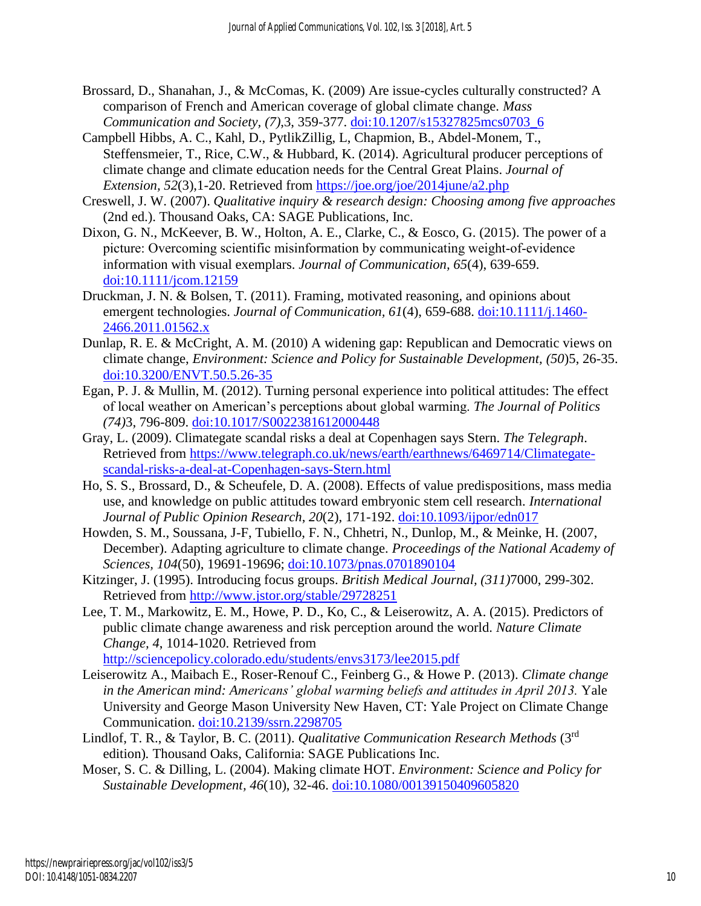- Brossard, D., Shanahan, J., & McComas, K. (2009) Are issue-cycles culturally constructed? A comparison of French and American coverage of global climate change. *Mass Communication and Society, (7)*,3, 359-377. [doi:10.1207/s15327825mcs0703\\_6](http://dx.doi.org/10.1207/s15327825mcs0703_6)
- Campbell Hibbs, A. C., Kahl, D., PytlikZillig, L, Chapmion, B., Abdel-Monem, T., Steffensmeier, T., Rice, C.W., & Hubbard, K. (2014). Agricultural producer perceptions of climate change and climate education needs for the Central Great Plains. *Journal of Extension, 52*(3),1-20. Retrieved from<https://joe.org/joe/2014june/a2.php>
- Creswell, J. W. (2007). *Qualitative inquiry & research design: Choosing among five approaches* (2nd ed.). Thousand Oaks, CA: SAGE Publications, Inc.
- Dixon, G. N., McKeever, B. W., Holton, A. E., Clarke, C., & Eosco, G. (2015). The power of a picture: Overcoming scientific misinformation by communicating weight‐of‐evidence information with visual exemplars. *Journal of Communication, 65*(4), 639-659. [doi:10.1111/jcom.12159](https://doi.org/10.1111/jcom.12159)
- Druckman, J. N. & Bolsen, T. (2011). Framing, motivated reasoning, and opinions about emergent technologies. *Journal of Communication, 61*(4), 659-688. [doi:10.1111/j.1460-](http://doi.org/10.1111/j.1460-2466.2011.01562.x) [2466.2011.01562.x](http://doi.org/10.1111/j.1460-2466.2011.01562.x)
- Dunlap, R. E. & McCright, A. M. (2010) A widening gap: Republican and Democratic views on climate change, *Environment: Science and Policy for Sustainable Development, (50*)5, 26-35. [doi:10.3200/ENVT.50.5.26-35](https://doi.org/10.3200/ENVT.50.5.26-35)
- Egan, P. J. & Mullin, M. (2012). Turning personal experience into political attitudes: The effect of local weather on American's perceptions about global warming. *The Journal of Politics (74)*3, 796-809. [doi:10.1017/S0022381612000448](https://doi.org/10.1017/S0022381612000448)
- Gray, L. (2009). Climategate scandal risks a deal at Copenhagen says Stern. *The Telegraph*. Retrieved from [https://www.telegraph.co.uk/news/earth/earthnews/6469714/Climategate](https://www.telegraph.co.uk/news/earth/earthnews/6469714/Climategate-scandal-risks-a-deal-at-Copenhagen-says-Stern.html)[scandal-risks-a-deal-at-Copenhagen-says-Stern.html](https://www.telegraph.co.uk/news/earth/earthnews/6469714/Climategate-scandal-risks-a-deal-at-Copenhagen-says-Stern.html)
- Ho, S. S., Brossard, D., & Scheufele, D. A. (2008). Effects of value predispositions, mass media use, and knowledge on public attitudes toward embryonic stem cell research. *International Journal of Public Opinion Research*, *20*(2), 171-192. [doi:10.1093/ijpor/edn017](https://doi.org/10.1093/ijpor/edn017)
- Howden, S. M., Soussana, J-F, Tubiello, F. N., Chhetri, N., Dunlop, M., & Meinke, H. (2007, December). Adapting agriculture to climate change. *Proceedings of the National Academy of Sciences, 104*(50), 19691-19696; [doi:10.1073/pnas.0701890104](doi:%2010.1073/pnas.0701890104)
- Kitzinger, J. (1995). Introducing focus groups. *British Medical Journal, (311)*7000, 299-302. Retrieved from<http://www.jstor.org/stable/29728251>
- Lee, T. M., Markowitz, E. M., Howe, P. D., Ko, C., & Leiserowitz, A. A. (2015). Predictors of public climate change awareness and risk perception around the world. *Nature Climate Change, 4*, 1014-1020. Retrieved from <http://sciencepolicy.colorado.edu/students/envs3173/lee2015.pdf>
- Leiserowitz A., Maibach E., Roser-Renouf C., Feinberg G., & Howe P. (2013). *Climate change in the American mind: Americans' global warming beliefs and attitudes in April 2013.* Yale University and George Mason University New Haven, CT: Yale Project on Climate Change Communication. [doi:10.2139/ssrn.2298705](Leiserowitz,%20Anthony%20and%20Maibach,%20Edward%20W.%20and%20Roser-Renouf,%20Connie%20and%20Feinberg,%20Geoff%20and%20Howe,%20Peter,%20Climate%20Change%20in%20the%20American%20Mind:%20Americans)
- Lindlof, T. R., & Taylor, B. C. (2011). *Qualitative Communication Research Methods* (3rd edition)*.* Thousand Oaks, California: SAGE Publications Inc.
- Moser, S. C. & Dilling, L. (2004). Making climate HOT. *Environment: Science and Policy for Sustainable Development, 46*(10), 32-46. [doi:10.1080/00139150409605820](https://doi.org/10.1080/00139150409605820)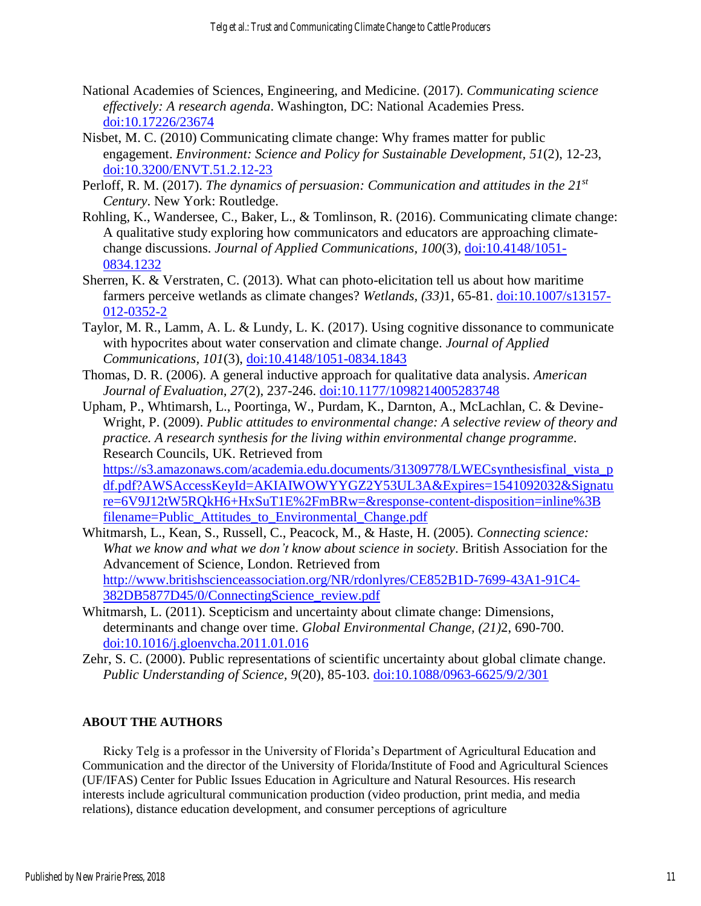- National Academies of Sciences, Engineering, and Medicine. (2017). *Communicating science effectively: A research agenda*. Washington, DC: National Academies Press. [doi:10.17226/23674](https://www.ncbi.nlm.nih.gov/books/NBK425710/)
- Nisbet, M. C. (2010) Communicating climate change: Why frames matter for public engagement. *Environment: Science and Policy for Sustainable Development, 51*(2), 12-23, [doi:10.3200/ENVT.51.2.12-23](https://doi.org/10.3200/ENVT.51.2.12-23)
- Perloff, R. M. (2017). *The dynamics of persuasion: Communication and attitudes in the 21st Century*. New York: Routledge.
- Rohling, K., Wandersee, C., Baker, L., & Tomlinson, R. (2016). Communicating climate change: A qualitative study exploring how communicators and educators are approaching climatechange discussions. *Journal of Applied Communications, 100*(3), [doi:10.4148/1051-](https://doi.org/10.4148/1051-0834.1232) [0834.1232](https://doi.org/10.4148/1051-0834.1232)
- Sherren, K. & Verstraten, C. (2013). What can photo-elicitation tell us about how maritime farmers perceive wetlands as climate changes? *Wetlands, (33)*1, 65-81. [doi:10.1007/s13157-](https://doi.org/10.1007/s13157-012-0352-2) [012-0352-2](https://doi.org/10.1007/s13157-012-0352-2)
- Taylor, M. R., Lamm, A. L. & Lundy, L. K. (2017). Using cognitive dissonance to communicate with hypocrites about water conservation and climate change. *Journal of Applied Communications, 101*(3), [doi:10.4148/1051-0834.1843](https://doi.org/10.4148/1051-0834.1843)
- Thomas, D. R. (2006). A general inductive approach for qualitative data analysis. *American Journal of Evaluation, 27*(2), 237-246. [doi:10.1177/1098214005283748](https://doi.org/10.1177/1098214005283748)
- Upham, P., Whtimarsh, L., Poortinga, W., Purdam, K., Darnton, A., McLachlan, C. & Devine-Wright, P. (2009). *Public attitudes to environmental change: A selective review of theory and practice. A research synthesis for the living within environmental change programme*. Research Councils, UK. Retrieved from

[https://s3.amazonaws.com/academia.edu.documents/31309778/LWECsynthesisfinal\\_vista\\_p](https://s3.amazonaws.com/academia.edu.documents/31309778/LWECsynthesisfinal_vista_pdf.pdf?AWSAccessKeyId=AKIAIWOWYYGZ2Y53UL3A&Expires=1541092032&Signature=6V9J12tW5RQkH6%2BHxSuT1E%2FmBRw%3D&response-content-disposition=inline%3B%20filename%3DPublic_Attitudes_to_Environmental_Change.pdf) [df.pdf?AWSAccessKeyId=AKIAIWOWYYGZ2Y53UL3A&Expires=1541092032&Signatu](https://s3.amazonaws.com/academia.edu.documents/31309778/LWECsynthesisfinal_vista_pdf.pdf?AWSAccessKeyId=AKIAIWOWYYGZ2Y53UL3A&Expires=1541092032&Signature=6V9J12tW5RQkH6%2BHxSuT1E%2FmBRw%3D&response-content-disposition=inline%3B%20filename%3DPublic_Attitudes_to_Environmental_Change.pdf) [re=6V9J12tW5RQkH6+HxSuT1E%2FmBRw=&response-content-disposition=inline%3B](https://s3.amazonaws.com/academia.edu.documents/31309778/LWECsynthesisfinal_vista_pdf.pdf?AWSAccessKeyId=AKIAIWOWYYGZ2Y53UL3A&Expires=1541092032&Signature=6V9J12tW5RQkH6%2BHxSuT1E%2FmBRw%3D&response-content-disposition=inline%3B%20filename%3DPublic_Attitudes_to_Environmental_Change.pdf)  [filename=Public\\_Attitudes\\_to\\_Environmental\\_Change.pdf](https://s3.amazonaws.com/academia.edu.documents/31309778/LWECsynthesisfinal_vista_pdf.pdf?AWSAccessKeyId=AKIAIWOWYYGZ2Y53UL3A&Expires=1541092032&Signature=6V9J12tW5RQkH6%2BHxSuT1E%2FmBRw%3D&response-content-disposition=inline%3B%20filename%3DPublic_Attitudes_to_Environmental_Change.pdf)

- Whitmarsh, L., Kean, S., Russell, C., Peacock, M., & Haste, H. (2005). *Connecting science: What we know and what we don't know about science in society*. British Association for the Advancement of Science, London. Retrieved from [http://www.britishscienceassociation.org/NR/rdonlyres/CE852B1D-7699-43A1-91C4-](http://www.britishscienceassociation.org/NR/rdonlyres/CE852B1D-7699-43A1-91C4-382DB5877D45/0/ConnectingScience_review.pdf) [382DB5877D45/0/ConnectingScience\\_review.pdf](http://www.britishscienceassociation.org/NR/rdonlyres/CE852B1D-7699-43A1-91C4-382DB5877D45/0/ConnectingScience_review.pdf)
- Whitmarsh, L. (2011). Scepticism and uncertainty about climate change: Dimensions, determinants and change over time. *Global Environmental Change, (21)*2, 690-700. [doi:10.1016/j.gloenvcha.2011.01.016](https://doi.org/10.1016/j.gloenvcha.2011.01.016)
- Zehr, S. C. (2000). Public representations of scientific uncertainty about global climate change. *Public Understanding of Science, 9*(20), 85-103. [doi:10.1088/0963-6625/9/2/301](https://doi.org/10.1088/0963-6625/9/2/301)

## **ABOUT THE AUTHORS**

Ricky Telg is a professor in the University of Florida's Department of Agricultural Education and Communication and the director of the University of Florida/Institute of Food and Agricultural Sciences (UF/IFAS) Center for Public Issues Education in Agriculture and Natural Resources. His research interests include agricultural communication production (video production, print media, and media relations), distance education development, and consumer perceptions of agriculture